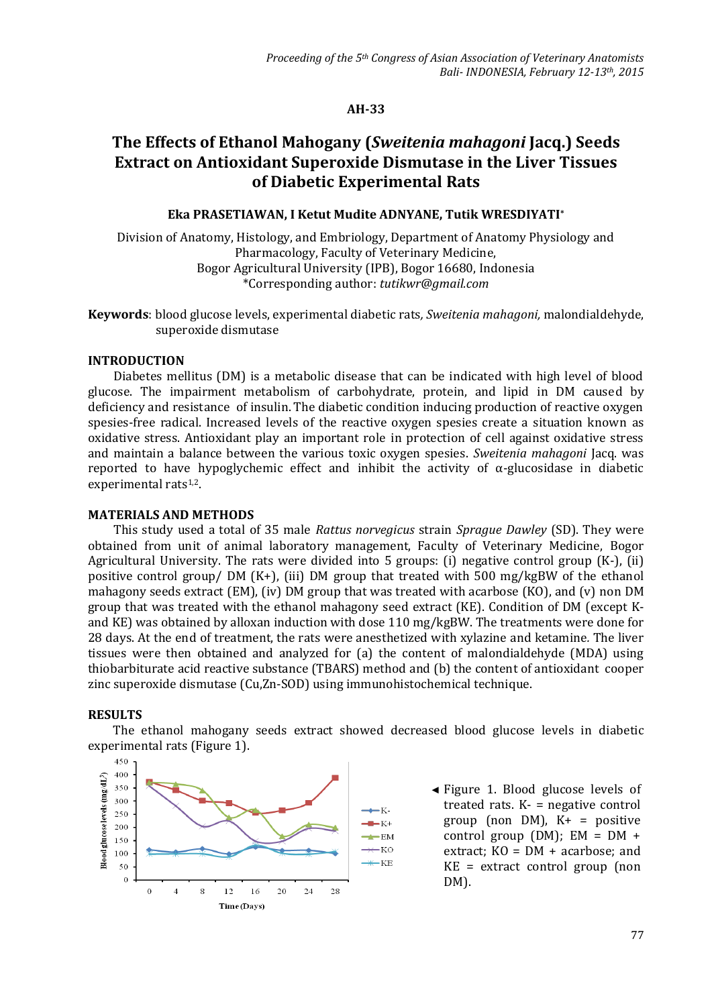## **AH-33**

# **The Effects of Ethanol Mahogany (***Sweitenia mahagoni* **Jacq.) Seeds Extract on Antioxidant Superoxide Dismutase in the Liver Tissues of Diabetic Experimental Rats**

# **Eka PRASETIAWAN, I Ketut Mudite ADNYANE, Tutik WRESDIYATI\***

Division of Anatomy, Histology, and Embriology, Department of Anatomy Physiology and Pharmacology, Faculty of Veterinary Medicine, Bogor Agricultural University (IPB), Bogor 16680, Indonesia \*Corresponding author: *tutikwr@gmail.com*

**Keywords**: blood glucose levels, experimental diabetic rats*, Sweitenia mahagoni,* malondialdehyde, superoxide dismutase

### **INTRODUCTION**

Diabetes mellitus (DM) is a metabolic disease that can be indicated with high level of blood glucose. The impairment metabolism of carbohydrate, protein, and lipid in DM caused by deficiency and resistance of insulin. The diabetic condition inducing production of reactive oxygen spesies-free radical. Increased levels of the reactive oxygen spesies create a situation known as oxidative stress. Antioxidant play an important role in protection of cell against oxidative stress and maintain a balance between the various toxic oxygen spesies. *Sweitenia mahagoni* Jacq. was reported to have hypoglychemic effect and inhibit the activity of  $\alpha$ -glucosidase in diabetic experimental rats<sup>1,2</sup>.

## **MATERIALS AND METHODS**

This study used a total of 35 male *Rattus norvegicus* strain *Sprague Dawley* (SD). They were obtained from unit of animal laboratory management, Faculty of Veterinary Medicine, Bogor Agricultural University. The rats were divided into 5 groups: (i) negative control group (K-), (ii) positive control group/ DM (K+), (iii) DM group that treated with 500 mg/kgBW of the ethanol mahagony seeds extract (EM), (iv) DM group that was treated with acarbose (KO), and (v) non DM group that was treated with the ethanol mahagony seed extract (KE). Condition of DM (except Kand KE) was obtained by alloxan induction with dose 110 mg/kgBW. The treatments were done for 28 days. At the end of treatment, the rats were anesthetized with xylazine and ketamine*.* The liver tissues were then obtained and analyzed for (a) the content of malondialdehyde (MDA) using thiobarbiturate acid reactive substance (TBARS) method and (b) the content of antioxidant cooper zinc superoxide dismutase (Cu,Zn-SOD) using immunohistochemical technique.

## **RESULTS**

The ethanol mahogany seeds extract showed decreased blood glucose levels in diabetic experimental rats (Figure 1).



 ◄ Figure 1. Blood glucose levels of treated rats. K- = negative control group (non DM),  $K + =$  positive control group (DM);  $EM = DM +$ extract; KO = DM + acarbose; and KE = extract control group (non DM).